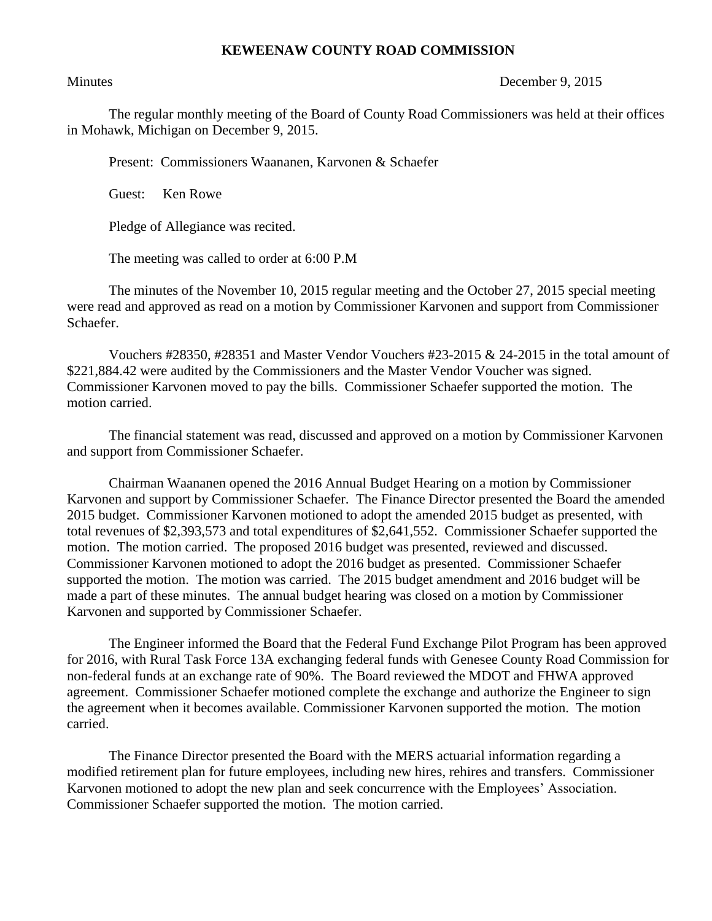## **KEWEENAW COUNTY ROAD COMMISSION**

## Minutes December 9, 2015

The regular monthly meeting of the Board of County Road Commissioners was held at their offices in Mohawk, Michigan on December 9, 2015.

Present: Commissioners Waananen, Karvonen & Schaefer

Guest: Ken Rowe

Pledge of Allegiance was recited.

The meeting was called to order at 6:00 P.M

The minutes of the November 10, 2015 regular meeting and the October 27, 2015 special meeting were read and approved as read on a motion by Commissioner Karvonen and support from Commissioner Schaefer.

Vouchers #28350, #28351 and Master Vendor Vouchers #23-2015 & 24-2015 in the total amount of \$221,884.42 were audited by the Commissioners and the Master Vendor Voucher was signed. Commissioner Karvonen moved to pay the bills. Commissioner Schaefer supported the motion. The motion carried.

The financial statement was read, discussed and approved on a motion by Commissioner Karvonen and support from Commissioner Schaefer.

Chairman Waananen opened the 2016 Annual Budget Hearing on a motion by Commissioner Karvonen and support by Commissioner Schaefer. The Finance Director presented the Board the amended 2015 budget. Commissioner Karvonen motioned to adopt the amended 2015 budget as presented, with total revenues of \$2,393,573 and total expenditures of \$2,641,552. Commissioner Schaefer supported the motion. The motion carried. The proposed 2016 budget was presented, reviewed and discussed. Commissioner Karvonen motioned to adopt the 2016 budget as presented. Commissioner Schaefer supported the motion. The motion was carried. The 2015 budget amendment and 2016 budget will be made a part of these minutes. The annual budget hearing was closed on a motion by Commissioner Karvonen and supported by Commissioner Schaefer.

The Engineer informed the Board that the Federal Fund Exchange Pilot Program has been approved for 2016, with Rural Task Force 13A exchanging federal funds with Genesee County Road Commission for non-federal funds at an exchange rate of 90%. The Board reviewed the MDOT and FHWA approved agreement. Commissioner Schaefer motioned complete the exchange and authorize the Engineer to sign the agreement when it becomes available. Commissioner Karvonen supported the motion. The motion carried.

The Finance Director presented the Board with the MERS actuarial information regarding a modified retirement plan for future employees, including new hires, rehires and transfers. Commissioner Karvonen motioned to adopt the new plan and seek concurrence with the Employees' Association. Commissioner Schaefer supported the motion. The motion carried.